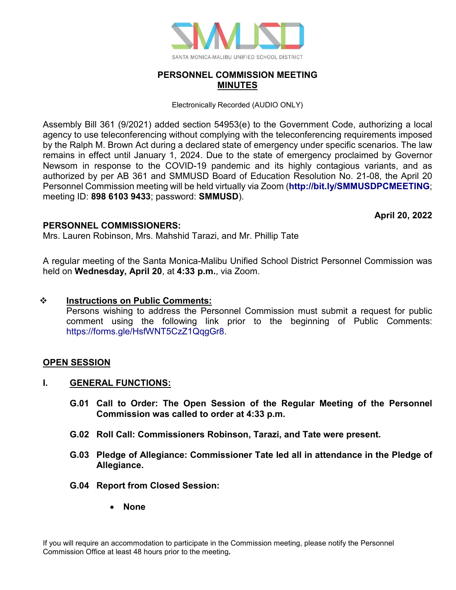

# **PERSONNEL COMMISSION MEETING MINUTES**

Electronically Recorded (AUDIO ONLY)

Assembly Bill 361 (9/2021) added section 54953(e) to the Government Code, authorizing a local agency to use teleconferencing without complying with the teleconferencing requirements imposed by the Ralph M. Brown Act during a declared state of emergency under specific scenarios. The law remains in effect until January 1, 2024. Due to the state of emergency proclaimed by Governor Newsom in response to the COVID-19 pandemic and its highly contagious variants, and as authorized by per AB 361 and SMMUSD Board of Education Resolution No. 21-08, the April 20 Personnel Commission meeting will be held virtually via Zoom (**<http://bit.ly/SMMUSDPCMEETING>**; meeting ID: **898 6103 9433**; password: **SMMUSD**).

**April 20, 2022**

## **PERSONNEL COMMISSIONERS:**

Mrs. Lauren Robinson, Mrs. Mahshid Tarazi, and Mr. Phillip Tate

A regular meeting of the Santa Monica-Malibu Unified School District Personnel Commission was held on **Wednesday, April 20**, at **4:33 p.m.**, via Zoom.

## **Instructions on Public Comments:**

Persons wishing to address the Personnel Commission must submit a request for public comment using the following link prior to the beginning of Public Comments: [https://forms.gle/HsfWNT5CzZ1QqgGr8.](https://forms.gle/HsfWNT5CzZ1QqgGr8)

## **OPEN SESSION**

## **I. GENERAL FUNCTIONS:**

- **G.01 Call to Order: The Open Session of the Regular Meeting of the Personnel Commission was called to order at 4:33 p.m.**
- **G.02 Roll Call: Commissioners Robinson, Tarazi, and Tate were present.**
- **G.03 Pledge of Allegiance: Commissioner Tate led all in attendance in the Pledge of Allegiance.**
- **G.04 Report from Closed Session:** 
	- **None**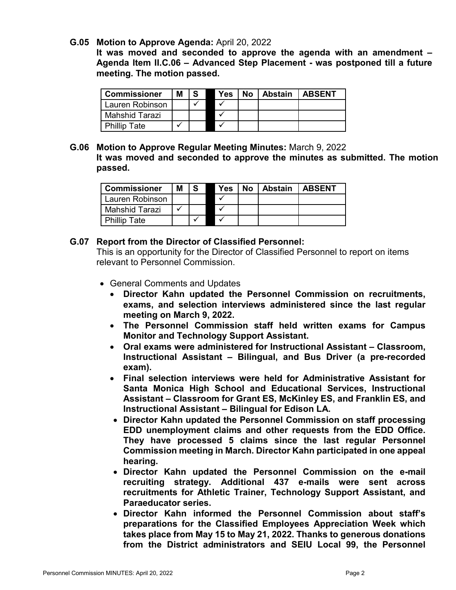#### **G.05 Motion to Approve Agenda:** April 20, 2022

**It was moved and seconded to approve the agenda with an amendment – Agenda Item II.C.06 – Advanced Step Placement - was postponed till a future meeting. The motion passed.**

| <b>Commissioner</b> | М | -S | <b>Yes</b> | No l | Abstain | I ABSENT |
|---------------------|---|----|------------|------|---------|----------|
| Lauren Robinson     |   |    |            |      |         |          |
| Mahshid Tarazi      |   |    |            |      |         |          |
| <b>Phillip Tate</b> |   |    |            |      |         |          |

**G.06 Motion to Approve Regular Meeting Minutes:** March 9, 2022 **It was moved and seconded to approve the minutes as submitted. The motion passed.**

| <b>Commissioner</b> | м | -S | <b>Yes</b> | No   Abstain   ABSENT |  |
|---------------------|---|----|------------|-----------------------|--|
| Lauren Robinson     |   |    |            |                       |  |
| Mahshid Tarazi      |   |    |            |                       |  |
| <b>Phillip Tate</b> |   |    |            |                       |  |

#### **G.07 Report from the Director of Classified Personnel:**

This is an opportunity for the Director of Classified Personnel to report on items relevant to Personnel Commission.

- General Comments and Updates
	- **Director Kahn updated the Personnel Commission on recruitments, exams, and selection interviews administered since the last regular meeting on March 9, 2022.**
	- **The Personnel Commission staff held written exams for Campus Monitor and Technology Support Assistant.**
	- **Oral exams were administered for Instructional Assistant Classroom, Instructional Assistant – Bilingual, and Bus Driver (a pre-recorded exam).**
	- **Final selection interviews were held for Administrative Assistant for Santa Monica High School and Educational Services, Instructional Assistant – Classroom for Grant ES, McKinley ES, and Franklin ES, and Instructional Assistant – Bilingual for Edison LA.**
	- **Director Kahn updated the Personnel Commission on staff processing EDD unemployment claims and other requests from the EDD Office. They have processed 5 claims since the last regular Personnel Commission meeting in March. Director Kahn participated in one appeal hearing.**
	- **Director Kahn updated the Personnel Commission on the e-mail recruiting strategy. Additional 437 e-mails were sent across recruitments for Athletic Trainer, Technology Support Assistant, and Paraeducator series.**
	- **Director Kahn informed the Personnel Commission about staff's preparations for the Classified Employees Appreciation Week which takes place from May 15 to May 21, 2022. Thanks to generous donations from the District administrators and SEIU Local 99, the Personnel**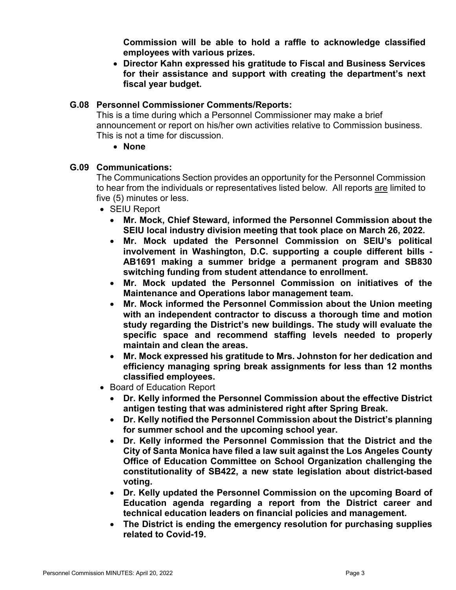**Commission will be able to hold a raffle to acknowledge classified employees with various prizes.**

• **Director Kahn expressed his gratitude to Fiscal and Business Services for their assistance and support with creating the department's next fiscal year budget.** 

## **G.08 Personnel Commissioner Comments/Reports:**

This is a time during which a Personnel Commissioner may make a brief announcement or report on his/her own activities relative to Commission business. This is not a time for discussion.

## • **None**

# **G.09 Communications:**

The Communications Section provides an opportunity for the Personnel Commission to hear from the individuals or representatives listed below. All reports are limited to five (5) minutes or less.

- SEIU Report
	- **Mr. Mock, Chief Steward, informed the Personnel Commission about the SEIU local industry division meeting that took place on March 26, 2022.**
	- **Mr. Mock updated the Personnel Commission on SEIU's political involvement in Washington, D.C. supporting a couple different bills - AB1691 making a summer bridge a permanent program and SB830 switching funding from student attendance to enrollment.**
	- **Mr. Mock updated the Personnel Commission on initiatives of the Maintenance and Operations labor management team.**
	- **Mr. Mock informed the Personnel Commission about the Union meeting with an independent contractor to discuss a thorough time and motion study regarding the District's new buildings. The study will evaluate the specific space and recommend staffing levels needed to properly maintain and clean the areas.**
	- **Mr. Mock expressed his gratitude to Mrs. Johnston for her dedication and efficiency managing spring break assignments for less than 12 months classified employees.**
- Board of Education Report
	- **Dr. Kelly informed the Personnel Commission about the effective District antigen testing that was administered right after Spring Break.**
	- **Dr. Kelly notified the Personnel Commission about the District's planning for summer school and the upcoming school year.**
	- **Dr. Kelly informed the Personnel Commission that the District and the City of Santa Monica have filed a law suit against the Los Angeles County Office of Education Committee on School Organization challenging the constitutionality of SB422, a new state legislation about district-based voting.**
	- **Dr. Kelly updated the Personnel Commission on the upcoming Board of Education agenda regarding a report from the District career and technical education leaders on financial policies and management.**
	- **The District is ending the emergency resolution for purchasing supplies related to Covid-19.**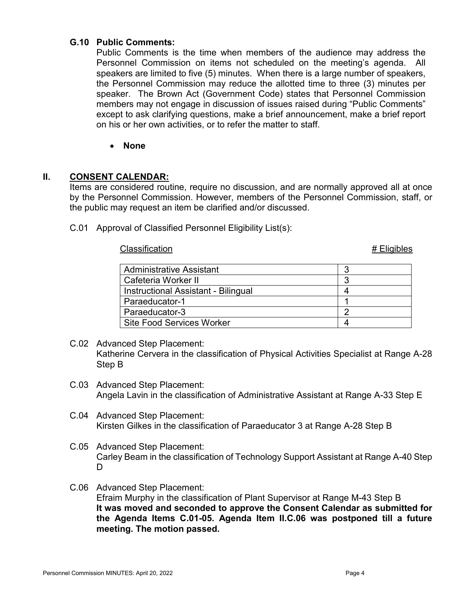## **G.10 Public Comments:**

Public Comments is the time when members of the audience may address the Personnel Commission on items not scheduled on the meeting's agenda. All speakers are limited to five (5) minutes. When there is a large number of speakers, the Personnel Commission may reduce the allotted time to three (3) minutes per speaker. The Brown Act (Government Code) states that Personnel Commission members may not engage in discussion of issues raised during "Public Comments" except to ask clarifying questions, make a brief announcement, make a brief report on his or her own activities, or to refer the matter to staff.

#### • **None**

#### **II. CONSENT CALENDAR:**

Items are considered routine, require no discussion, and are normally approved all at once by the Personnel Commission. However, members of the Personnel Commission, staff, or the public may request an item be clarified and/or discussed.

C.01 Approval of Classified Personnel Eligibility List(s):

#### Classification **Alternative Classification Alternative Classification # Eligibles**

| <b>Administrative Assistant</b>     |   |
|-------------------------------------|---|
| Cafeteria Worker II                 |   |
| Instructional Assistant - Bilingual |   |
| Paraeducator-1                      |   |
| Paraeducator-3                      | n |
| <b>Site Food Services Worker</b>    |   |

- C.02 Advanced Step Placement: Katherine Cervera in the classification of Physical Activities Specialist at Range A-28 Step B
- C.03 Advanced Step Placement: Angela Lavin in the classification of Administrative Assistant at Range A-33 Step E
- C.04 Advanced Step Placement: Kirsten Gilkes in the classification of Paraeducator 3 at Range A-28 Step B
- C.05 Advanced Step Placement: Carley Beam in the classification of Technology Support Assistant at Range A-40 Step D.
- C.06 Advanced Step Placement: Efraim Murphy in the classification of Plant Supervisor at Range M-43 Step B **It was moved and seconded to approve the Consent Calendar as submitted for the Agenda Items C.01-05. Agenda Item II.C.06 was postponed till a future meeting. The motion passed.**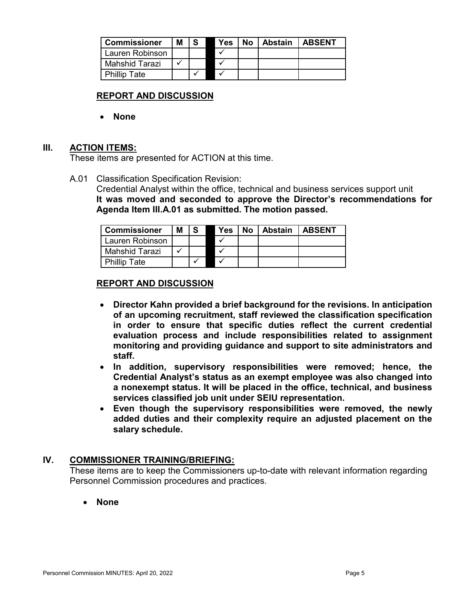| <b>Commissioner</b> | Μ |  | Yes | No | Abstain | <b>LABSENT</b> |
|---------------------|---|--|-----|----|---------|----------------|
| Lauren Robinson     |   |  |     |    |         |                |
| Mahshid Tarazi      |   |  |     |    |         |                |
| <b>Phillip Tate</b> |   |  |     |    |         |                |

# **REPORT AND DISCUSSION**

• **None**

## **III. ACTION ITEMS:**

These items are presented for ACTION at this time.

A.01 Classification Specification Revision:

Credential Analyst within the office, technical and business services support unit **It was moved and seconded to approve the Director's recommendations for Agenda Item III.A.01 as submitted. The motion passed.**

| <b>Commissioner</b> | М |  | Yes | No. | Abstain | <b>LABSENT</b> |
|---------------------|---|--|-----|-----|---------|----------------|
| Lauren Robinson     |   |  |     |     |         |                |
| Mahshid Tarazi      |   |  |     |     |         |                |
| <b>Phillip Tate</b> |   |  |     |     |         |                |

#### **REPORT AND DISCUSSION**

- **Director Kahn provided a brief background for the revisions. In anticipation of an upcoming recruitment, staff reviewed the classification specification in order to ensure that specific duties reflect the current credential evaluation process and include responsibilities related to assignment monitoring and providing guidance and support to site administrators and staff.**
- **In addition, supervisory responsibilities were removed; hence, the Credential Analyst's status as an exempt employee was also changed into a nonexempt status. It will be placed in the office, technical, and business services classified job unit under SEIU representation.**
- **Even though the supervisory responsibilities were removed, the newly added duties and their complexity require an adjusted placement on the salary schedule.**

## **IV. COMMISSIONER TRAINING/BRIEFING:**

These items are to keep the Commissioners up-to-date with relevant information regarding Personnel Commission procedures and practices.

• **None**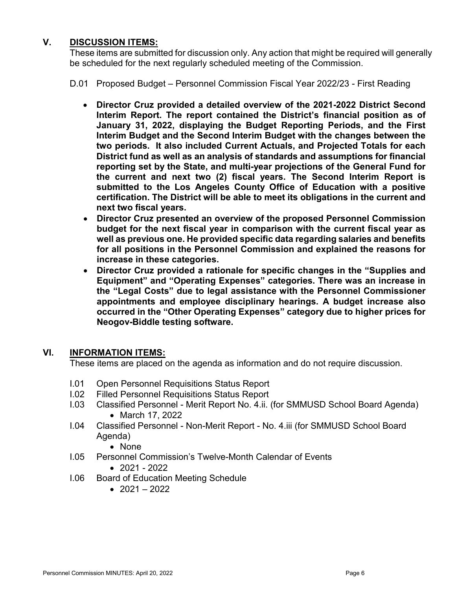# **V. DISCUSSION ITEMS:**

These items are submitted for discussion only. Any action that might be required will generally be scheduled for the next regularly scheduled meeting of the Commission.

D.01 Proposed Budget – Personnel Commission Fiscal Year 2022/23 - First Reading

- **Director Cruz provided a detailed overview of the 2021-2022 District Second Interim Report. The report contained the District's financial position as of January 31, 2022, displaying the Budget Reporting Periods, and the First Interim Budget and the Second Interim Budget with the changes between the two periods. It also included Current Actuals, and Projected Totals for each District fund as well as an analysis of standards and assumptions for financial reporting set by the State, and multi-year projections of the General Fund for the current and next two (2) fiscal years. The Second Interim Report is submitted to the Los Angeles County Office of Education with a positive certification. The District will be able to meet its obligations in the current and next two fiscal years.**
- **Director Cruz presented an overview of the proposed Personnel Commission budget for the next fiscal year in comparison with the current fiscal year as well as previous one. He provided specific data regarding salaries and benefits for all positions in the Personnel Commission and explained the reasons for increase in these categories.**
- **Director Cruz provided a rationale for specific changes in the "Supplies and Equipment" and "Operating Expenses" categories. There was an increase in the "Legal Costs" due to legal assistance with the Personnel Commissioner appointments and employee disciplinary hearings. A budget increase also occurred in the "Other Operating Expenses" category due to higher prices for Neogov-Biddle testing software.**

## **VI. INFORMATION ITEMS:**

These items are placed on the agenda as information and do not require discussion.

- I.01 Open Personnel Requisitions Status Report
- I.02 Filled Personnel Requisitions Status Report
- I.03 Classified Personnel Merit Report No. 4.ii. (for SMMUSD School Board Agenda) • March 17, 2022
- I.04 Classified Personnel Non-Merit Report No. 4.iii (for SMMUSD School Board Agenda)
	- None
- I.05 Personnel Commission's Twelve-Month Calendar of Events • 2021 - 2022
- I.06 Board of Education Meeting Schedule
	- $2021 2022$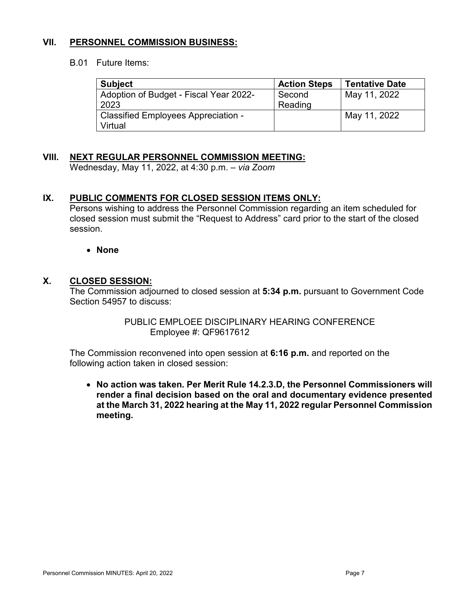# **VII. PERSONNEL COMMISSION BUSINESS:**

#### B.01 Future Items:

| <b>Subject</b>                         | <b>Action Steps</b> | <b>Tentative Date</b> |
|----------------------------------------|---------------------|-----------------------|
| Adoption of Budget - Fiscal Year 2022- | Second              | May 11, 2022          |
| 2023                                   | Reading             |                       |
| Classified Employees Appreciation -    |                     | May 11, 2022          |
| Virtual                                |                     |                       |

# **VIII. NEXT REGULAR PERSONNEL COMMISSION MEETING:**

Wednesday, May 11, 2022, at 4:30 p.m. – *via Zoom*

# **IX. PUBLIC COMMENTS FOR CLOSED SESSION ITEMS ONLY:**

Persons wishing to address the Personnel Commission regarding an item scheduled for closed session must submit the "Request to Address" card prior to the start of the closed session.

#### • **None**

## **X. CLOSED SESSION:**

The Commission adjourned to closed session at **5:34 p.m.** pursuant to Government Code Section 54957 to discuss:

> PUBLIC EMPLOEE DISCIPLINARY HEARING CONFERENCE Employee #: QF9617612

The Commission reconvened into open session at **6:16 p.m.** and reported on the following action taken in closed session:

• **No action was taken. Per Merit Rule 14.2.3.D, the Personnel Commissioners will render a final decision based on the oral and documentary evidence presented at the March 31, 2022 hearing at the May 11, 2022 regular Personnel Commission meeting.**